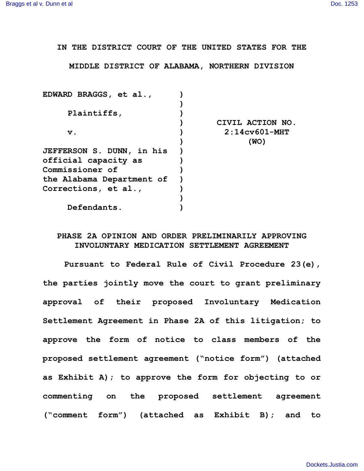**IN THE DISTRICT COURT OF THE UNITED STATES FOR THE**

**MIDDLE DISTRICT OF ALABAMA, NORTHERN DIVISION**

| EDWARD BRAGGS, et al.,           |                  |
|----------------------------------|------------------|
|                                  |                  |
| Plaintiffs,                      |                  |
|                                  | CIVIL ACTION NO. |
| $\mathbf v$ .                    | $2:14c$ v601-MHT |
|                                  | (WO)             |
| <b>JEFFERSON S. DUNN, in his</b> |                  |
| official capacity as             |                  |
| Commissioner of                  |                  |
| the Alabama Department of        |                  |
| Corrections, et al.,             |                  |
|                                  |                  |
| Defendants.                      |                  |
|                                  |                  |

## **PHASE 2A OPINION AND ORDER PRELIMINARILY APPROVING INVOLUNTARY MEDICATION SETTLEMENT AGREEMENT**

**Pursuant to Federal Rule of Civil Procedure 23(e), the parties jointly move the court to grant preliminary approval of their proposed Involuntary Medication Settlement Agreement in Phase 2A of this litigation; to approve the form of notice to class members of the proposed settlement agreement ("notice form") (attached as Exhibit A); to approve the form for objecting to or commenting on the proposed settlement agreement ("comment form") (attached as Exhibit B); and to**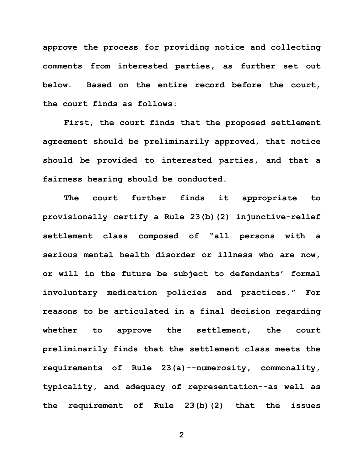**approve the process for providing notice and collecting comments from interested parties, as further set out below. Based on the entire record before the court, the court finds as follows:**

**First, the court finds that the proposed settlement agreement should be preliminarily approved, that notice should be provided to interested parties, and that a fairness hearing should be conducted.**

**The court further finds it appropriate to provisionally certify a Rule 23(b)(2) injunctive-relief settlement class composed of "all persons with a serious mental health disorder or illness who are now, or will in the future be subject to defendants' formal involuntary medication policies and practices." For reasons to be articulated in a final decision regarding whether to approve the settlement, the court preliminarily finds that the settlement class meets the requirements of Rule 23(a)--numerosity, commonality, typicality, and adequacy of representation--as well as the requirement of Rule 23(b)(2) that the issues**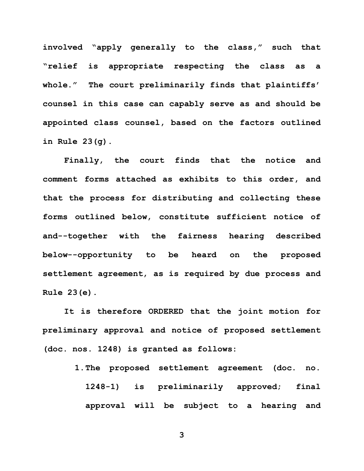**involved "apply generally to the class," such that "relief is appropriate respecting the class as a whole." The court preliminarily finds that plaintiffs' counsel in this case can capably serve as and should be appointed class counsel, based on the factors outlined in Rule 23(g).**

**Finally, the court finds that the notice and comment forms attached as exhibits to this order, and that the process for distributing and collecting these forms outlined below, constitute sufficient notice of and--together with the fairness hearing described below--opportunity to be heard on the proposed settlement agreement, as is required by due process and Rule 23(e).**

**It is therefore ORDERED that the joint motion for preliminary approval and notice of proposed settlement (doc. nos. 1248) is granted as follows:**

> **1.The proposed settlement agreement (doc. no. 1248-1) is preliminarily approved; final approval will be subject to a hearing and**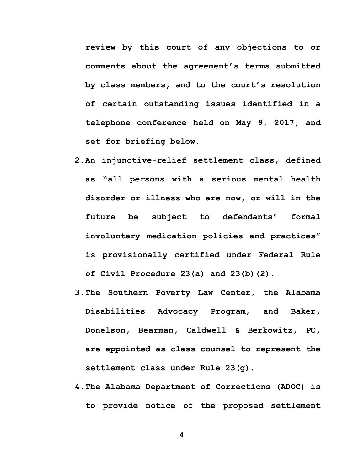**review by this court of any objections to or comments about the agreement's terms submitted by class members, and to the court's resolution of certain outstanding issues identified in a telephone conference held on May 9, 2017, and set for briefing below.**

- **2.An injunctive-relief settlement class, defined as "all persons with a serious mental health disorder or illness who are now, or will in the future be subject to defendants' formal involuntary medication policies and practices" is provisionally certified under Federal Rule of Civil Procedure 23(a) and 23(b)(2).**
- **3.The Southern Poverty Law Center, the Alabama Disabilities Advocacy Program, and Baker, Donelson, Bearman, Caldwell & Berkowitz, PC, are appointed as class counsel to represent the settlement class under Rule 23(g).**
- **4.The Alabama Department of Corrections (ADOC) is to provide notice of the proposed settlement**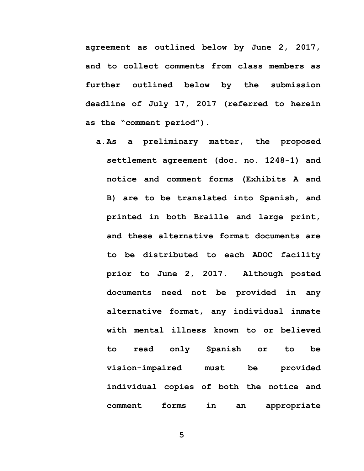**agreement as outlined below by June 2, 2017, and to collect comments from class members as further outlined below by the submission deadline of July 17, 2017 (referred to herein as the "comment period").**

**a.As a preliminary matter, the proposed settlement agreement (doc. no. 1248-1) and notice and comment forms (Exhibits A and B) are to be translated into Spanish, and printed in both Braille and large print, and these alternative format documents are to be distributed to each ADOC facility prior to June 2, 2017. Although posted documents need not be provided in any alternative format, any individual inmate with mental illness known to or believed to read only Spanish or to be vision-impaired must be provided individual copies of both the notice and comment forms in an appropriate**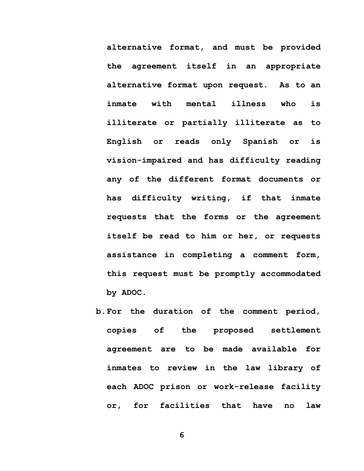**alternative format, and must be provided the agreement itself in an appropriate alternative format upon request. As to an inmate with mental illness who is illiterate or partially illiterate as to English or reads only Spanish or is vision-impaired and has difficulty reading any of the different format documents or has difficulty writing, if that inmate requests that the forms or the agreement itself be read to him or her, or requests assistance in completing a comment form, this request must be promptly accommodated by ADOC.**

**b.For the duration of the comment period, copies of the proposed settlement agreement are to be made available for inmates to review in the law library of each ADOC prison or work-release facility or, for facilities that have no law**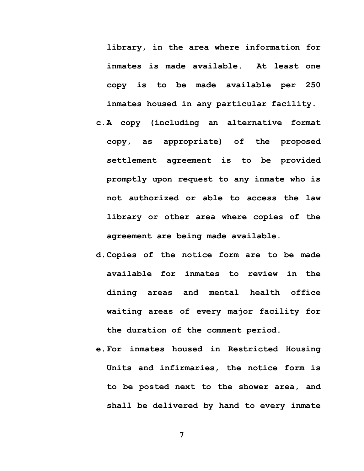**library, in the area where information for inmates is made available. At least one copy is to be made available per 250 inmates housed in any particular facility.**

- **c.A copy (including an alternative format copy, as appropriate) of the proposed settlement agreement is to be provided promptly upon request to any inmate who is not authorized or able to access the law library or other area where copies of the agreement are being made available.**
- **d.Copies of the notice form are to be made available for inmates to review in the dining areas and mental health office waiting areas of every major facility for the duration of the comment period.**
- **e.For inmates housed in Restricted Housing Units and infirmaries, the notice form is to be posted next to the shower area, and shall be delivered by hand to every inmate**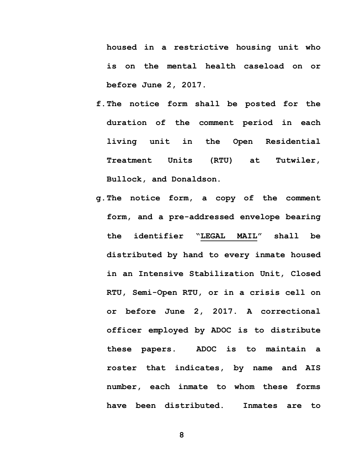**housed in a restrictive housing unit who is on the mental health caseload on or before June 2, 2017.** 

- **f.The notice form shall be posted for the duration of the comment period in each living unit in the Open Residential Treatment Units (RTU) at Tutwiler, Bullock, and Donaldson.**
- **g.The notice form, a copy of the comment form, and a pre-addressed envelope bearing the identifier "LEGAL MAIL" shall be distributed by hand to every inmate housed in an Intensive Stabilization Unit, Closed RTU, Semi-Open RTU, or in a crisis cell on or before June 2, 2017. A correctional officer employed by ADOC is to distribute these papers. ADOC is to maintain a roster that indicates, by name and AIS number, each inmate to whom these forms have been distributed. Inmates are to**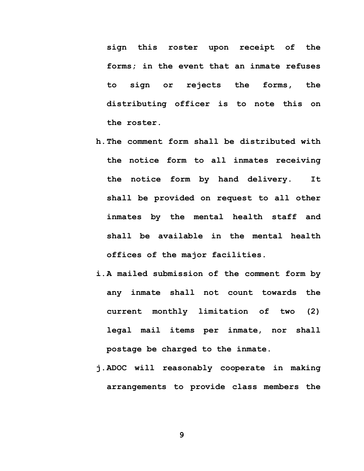**sign this roster upon receipt of the forms; in the event that an inmate refuses to sign or rejects the forms, the distributing officer is to note this on the roster.**

- **h.The comment form shall be distributed with the notice form to all inmates receiving the notice form by hand delivery. It shall be provided on request to all other inmates by the mental health staff and shall be available in the mental health offices of the major facilities.**
- **i.A mailed submission of the comment form by any inmate shall not count towards the current monthly limitation of two (2) legal mail items per inmate, nor shall postage be charged to the inmate.**
- **j.ADOC will reasonably cooperate in making arrangements to provide class members the**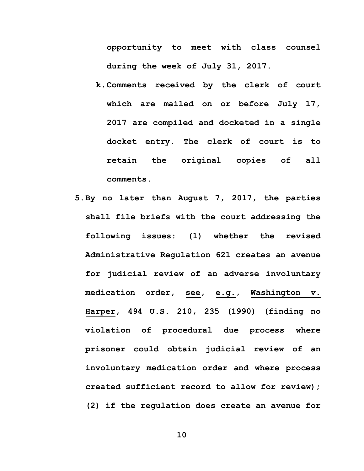**opportunity to meet with class counsel during the week of July 31, 2017.** 

- **k.Comments received by the clerk of court which are mailed on or before July 17, 2017 are compiled and docketed in a single docket entry. The clerk of court is to retain the original copies of all comments.**
- **5.By no later than August 7, 2017, the parties shall file briefs with the court addressing the following issues: (1) whether the revised Administrative Regulation 621 creates an avenue for judicial review of an adverse involuntary medication order, see, e.g., Washington v. Harper, 494 U.S. 210, 235 (1990) (finding no violation of procedural due process where prisoner could obtain judicial review of an involuntary medication order and where process created sufficient record to allow for review); (2) if the regulation does create an avenue for**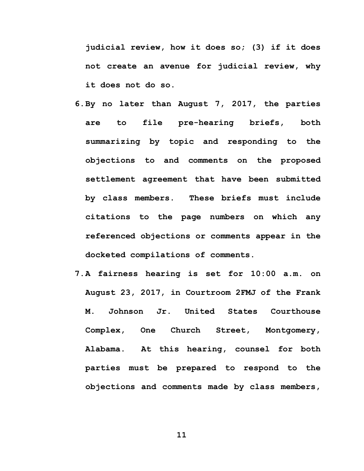**judicial review, how it does so; (3) if it does not create an avenue for judicial review, why it does not do so.** 

- **6.By no later than August 7, 2017, the parties are to file pre-hearing briefs, both summarizing by topic and responding to the objections to and comments on the proposed settlement agreement that have been submitted by class members. These briefs must include citations to the page numbers on which any referenced objections or comments appear in the docketed compilations of comments.**
- **7.A fairness hearing is set for 10:00 a.m. on August 23, 2017, in Courtroom 2FMJ of the Frank M. Johnson Jr. United States Courthouse Complex, One Church Street, Montgomery, Alabama. At this hearing, counsel for both parties must be prepared to respond to the objections and comments made by class members,**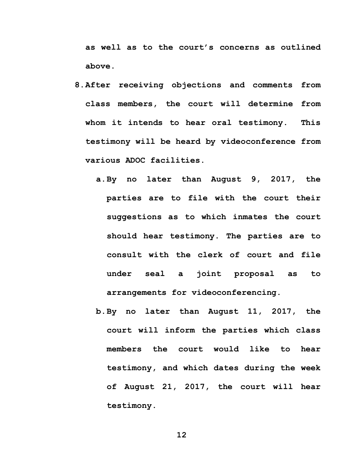**as well as to the court's concerns as outlined above.**

- **8.After receiving objections and comments from class members, the court will determine from whom it intends to hear oral testimony. This testimony will be heard by videoconference from various ADOC facilities.**
	- **a.By no later than August 9, 2017, the parties are to file with the court their suggestions as to which inmates the court should hear testimony. The parties are to consult with the clerk of court and file under seal a joint proposal as to arrangements for videoconferencing.**
	- **b.By no later than August 11, 2017, the court will inform the parties which class members the court would like to hear testimony, and which dates during the week of August 21, 2017, the court will hear testimony.**